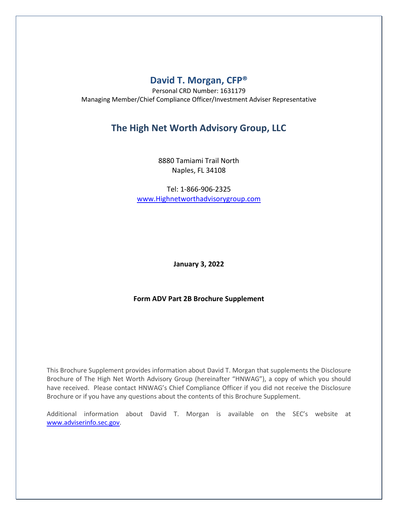# **David T. Morgan, CFP®**

Personal CRD Number: 1631179 Managing Member/Chief Compliance Officer/Investment Adviser Representative

# **The High Net Worth Advisory Group, LLC**

8880 Tamiami Trail North Naples, FL 34108

Tel: 1-866-906-2325 [www.Highnetworthadvisorygroup.com](http://www.highnetworthadvisorygroup.com/)

**January 3, 2022**

## **Form ADV Part 2B Brochure Supplement**

This Brochure Supplement provides information about David T. Morgan that supplements the Disclosure Brochure of The High Net Worth Advisory Group (hereinafter "HNWAG"), a copy of which you should have received. Please contact HNWAG's Chief Compliance Officer if you did not receive the Disclosure Brochure or if you have any questions about the contents of this Brochure Supplement.

Additional information about David T. Morgan is available on the SEC's website at [www.adviserinfo.sec.gov.](http://www.adviserinfo.sec.gov/)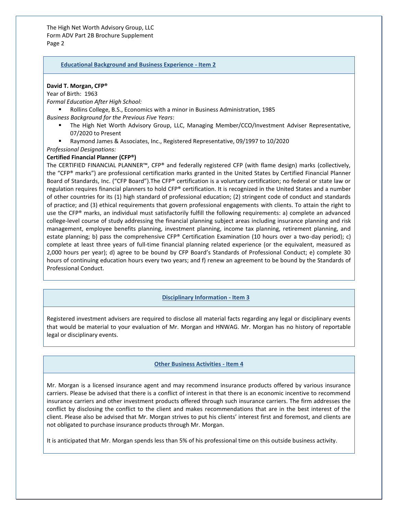The High Net Worth Advisory Group, LLC Form ADV Part 2B Brochure Supplement Page 2

#### **Educational Background and Business Experience - Item 2**

#### **David T. Morgan, CFP®**

Year of Birth: 1963

*Formal Education After High School:*

▪ Rollins College, B.S., Economics with a minor in Business Administration, 1985

*Business Background for the Previous Five Years*:

- The High Net Worth Advisory Group, LLC, Managing Member/CCO/Investment Adviser Representative, 07/2020 to Present
- Raymond James & Associates, Inc., Registered Representative, 09/1997 to 10/2020

#### *Professional Designations:*

#### **Certified Financial Planner (CFP®)**

The CERTIFIED FINANCIAL PLANNER™, CFP® and federally registered CFP (with flame design) marks (collectively, the "CFP® marks") are professional certification marks granted in the United States by Certified Financial Planner Board of Standards, Inc. ("CFP Board").The CFP® certification is a voluntary certification; no federal or state law or regulation requires financial planners to hold CFP® certification. It is recognized in the United States and a number of other countries for its (1) high standard of professional education; (2) stringent code of conduct and standards of practice; and (3) ethical requirements that govern professional engagements with clients. To attain the right to use the CFP® marks, an individual must satisfactorily fulfill the following requirements: a) complete an advanced college-level course of study addressing the financial planning subject areas including insurance planning and risk management, employee benefits planning, investment planning, income tax planning, retirement planning, and estate planning; b) pass the comprehensive CFP® Certification Examination (10 hours over a two-day period); c) complete at least three years of full-time financial planning related experience (or the equivalent, measured as 2,000 hours per year); d) agree to be bound by CFP Board's Standards of Professional Conduct; e) complete 30 hours of continuing education hours every two years; and f) renew an agreement to be bound by the Standards of Professional Conduct.

#### **Disciplinary Information - Item 3**

Registered investment advisers are required to disclose all material facts regarding any legal or disciplinary events that would be material to your evaluation of Mr. Morgan and HNWAG. Mr. Morgan has no history of reportable legal or disciplinary events.

### **Other Business Activities - Item 4**

Mr. Morgan is a licensed insurance agent and may recommend insurance products offered by various insurance carriers. Please be advised that there is a conflict of interest in that there is an economic incentive to recommend insurance carriers and other investment products offered through such insurance carriers. The firm addresses the conflict by disclosing the conflict to the client and makes recommendations that are in the best interest of the client. Please also be advised that Mr. Morgan strives to put his clients' interest first and foremost, and clients are not obligated to purchase insurance products through Mr. Morgan.

It is anticipated that Mr. Morgan spends less than 5% of his professional time on this outside business activity.